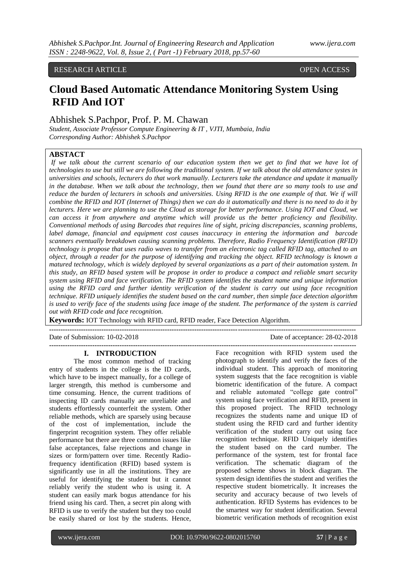RESEARCH ARTICLE **CONSERVERS** OPEN ACCESS

# **Cloud Based Automatic Attendance Monitoring System Using RFID And IOT**

## Abhishek S.Pachpor, Prof. P. M. Chawan

*Student, Associate Professor Compute Engineering & IT , VJTI, Mumbaia, India Corresponding Author: Abhishek S.Pachpor*

# **ABSTACT**

*If we talk about the current scenario of our education system then we get to find that we have lot of technologies to use but still we are following the traditional system. If we talk about the old attendance systes in universities and schools, lecturers do that work manually. Lecturers take the atendance and update it manually in the database. When we talk about the technology, then we found that there are so many tools to use and reduce the burden of lecturers in schools and universities. Using RFID is the one example of that. We if will combine the RFID and IOT (Internet of Things) then we can do it automatically and there is no need to do it by lecturers. Here we are planning to use the Cloud as storage for better performance. Using IOT and Cloud, we can access it from anywhere and anytime which will provide us the better proficiency and flexibility. Conventional methods of using Barcodes that requires line of sight, pricing discrepancies, scanning problems, label damage, financial and equipment cost causes inaccuracy in entering the information and barcode scanners eventually breakdown causing scanning problems. Therefore, Radio Frequency Identification (RFID) technology is propose that uses radio waves to transfer from an electronic tag called RFID tag, attached to an object, through a reader for the purpose of identifying and tracking the object. RFID technology is known a matured technology, which is widely deployed by several organizations as a part of their automation system. In this study, an RFID based system will be propose in order to produce a compact and reliable smart security system using RFID and face verification. The RFID system identifies the student name and unique information using the RFID card and further identity verification of the student is carry out using face recognition technique. RFID uniquely identifies the student based on the card number, then simple face detection algorithm is used to verify face of the students using face image of the student. The performance of the system is carried out with RFID code and face recognition.* 

**Keywords:** IOT Technology with RFID card, RFID reader, Face Detection Algorithm.

**---------------------------------------------------------------------------------------------------------------------------------------** Date of Submission: 10-02-2018 Date of acceptance: 28-02-2018 **---------------------------------------------------------------------------------------------------------------------------------------**

#### **I. INTRODUCTION**

The most common method of tracking entry of students in the college is the ID cards, which have to be inspect manually, for a college of larger strength, this method is cumbersome and time consuming. Hence, the current traditions of inspecting ID cards manually are unreliable and students effortlessly counterfeit the system. Other reliable methods, which are sparsely using because of the cost of implementation, include the fingerprint recognition system. They offer reliable performance but there are three common issues like false acceptances, false rejections and change in sizes or form/pattern over time. Recently Radiofrequency identification (RFID) based system is significantly use in all the institutions. They are useful for identifying the student but it cannot reliably verify the student who is using it. A student can easily mark bogus attendance for his friend using his card. Then, a secret pin along with RFID is use to verify the student but they too could be easily shared or lost by the students. Hence,

Face recognition with RFID system used the photograph to identify and verify the faces of the individual student. This approach of monitoring system suggests that the face recognition is viable biometric identification of the future. A compact and reliable automated "college gate control" system using face verification and RFID, present in this proposed project. The RFID technology recognizes the students name and unique ID of student using the RFID card and further identity verification of the student carry out using face recognition technique. RFID Uniquely identifies the student based on the card number. The performance of the system, test for frontal face verification. The schematic diagram of the proposed scheme shows in block diagram. The system design identifies the student and verifies the respective student biometrically. It increases the security and accuracy because of two levels of authentication. RFID Systems has evidences to be the smartest way for student identification. Several biometric verification methods of recognition exist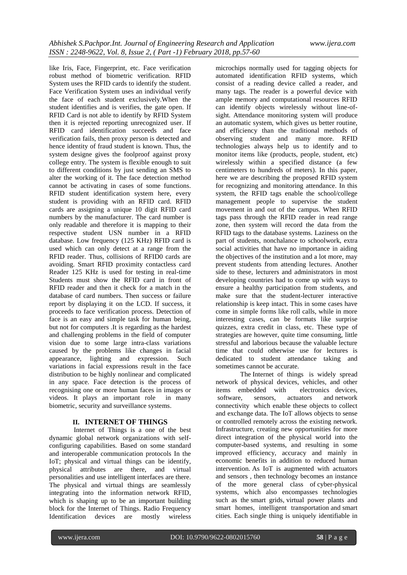like Iris, Face, Fingerprint, etc. Face verification robust method of biometric verification. RFID System uses the RFID cards to identify the student. Face Verification System uses an individual verify the face of each student exclusively.When the student identifies and is verifies, the gate open. If RFID Card is not able to identify by RFID System then it is rejected reporting unrecognized user. If RFID card identification succeeds and face verification fails, then proxy person is detected and hence identity of fraud student is known. Thus, the system designe gives the foolproof against proxy college entry. The system is flexible enough to suit to different conditions by just sending an SMS to alter the working of it. The face detection method cannot be activating in cases of some functions. RFID student identification system here, every student is providing with an RFID card. RFID cards are assigning a unique 10 digit RFID card numbers by the manufacturer. The card number is only readable and therefore it is mapping to their respective student USN number in a RFID database. Low frequency (125 KHz) RFID card is used which can only detect at a range from the RFID reader. Thus, collisions of RFID0 cards are avoiding. Smart RFID proximity contactless card Reader 125 KHz is used for testing in real-time Students must show the RFID card in front of RFID reader and then it check for a match in the database of card numbers. Then success or failure report by displaying it on the LCD. If success, it proceeds to face verification process. Detection of face is an easy and simple task for human being, but not for computers .It is regarding as the hardest and challenging problems in the field of computer vision due to some large intra-class variations caused by the problems like changes in facial appearance, lighting and expression. Such variations in facial expressions result in the face distribution to be highly nonlinear and complicated in any space. Face detection is the process of recognising one or more human faces in images or videos. It plays an important role in many biometric, security and surveillance systems.

## **II. INTERNET OF THINGS**

Internet of Things is a one of the best dynamic global network organizations with selfconfiguring capabilities. Based on some standard and interoperable communication protocols In the IoT; physical and virtual things can be identify, physical attributes are there, and virtual personalities and use intelligent interfaces are there. The physical and virtual things are seamlessly integrating into the information network RFID, which is shaping up to be an important building block for the Internet of Things. Radio Frequency Identification devices are mostly wireless

microchips normally used for tagging objects for automated identification RFID systems, which consist of a reading device called a reader, and many tags. The reader is a powerful device with ample memory and computational resources RFID can identify objects wirelessly without line-ofsight. Attendance monitoring system will produce an automatic system, which gives us better routine, and efficiency than the traditional methods of observing student and many more. RFID technologies always help us to identify and to monitor items like (products, people, student, etc) wirelessly within a specified distance (a few centimeters to hundreds of meters). In this paper, here we are describing the proposed RFID system for recognizing and monitoring attendance. In this system, the RFID tags enable the school/college management people to supervise the student movement in and out of the campus. When RFID tags pass through the RFID reader in read range zone, then system will record the data from the RFID tags to the database systems. Laziness on the part of students, nonchalance to schoolwork, extra social activities that have no importance in aiding the objectives of the institution and a lot more, may prevent students from attending lectures. Another side to these, lecturers and administrators in most developing countries had to come up with ways to ensure a healthy participation from students, and make sure that the student-lecturer interactive relationship is keep intact. This in some cases have come in simple forms like roll calls, while in more interesting cases, can be formats like surprise quizzes, extra credit in class, etc. These type of strategies are however, quite time consuming, little stressful and laborious because the valuable lecture time that could otherwise use for lectures is dedicated to student attendance taking and sometimes cannot be accurate.

The Internet of things is widely spread network of physical devices, vehicles, and other items [embedded](https://en.wikipedia.org/wiki/Embedded_system) with [electronics](https://en.wikipedia.org/wiki/Electronics) devices, [software,](https://en.wikipedia.org/wiki/Software) [sensors,](https://en.wikipedia.org/wiki/Sensor) [actuators](https://en.wikipedia.org/wiki/Actuator) and [network](https://en.wikipedia.org/wiki/Internet_access)  [connectivity](https://en.wikipedia.org/wiki/Internet_access) which enable these objects to collect and exchange [data.](https://en.wikipedia.org/wiki/Data) The IoT allows objects to sense or controlled remotely across the existing network. Infrastructure, creating new opportunities for more direct integration of the physical world into the computer-based systems, and resulting in some improved efficiency, accuracy and mainly in economic benefits in addition to reduced human intervention. As IoT is augmented with actuators and sensors , then technology becomes an instance of the more general class of [cyber-physical](https://en.wikipedia.org/wiki/Cyber-physical_system)  [systems,](https://en.wikipedia.org/wiki/Cyber-physical_system) which also encompasses technologies such as the [smart grids,](https://en.wikipedia.org/wiki/Smart_grid) [virtual power plants](https://en.wikipedia.org/wiki/Virtual_power_plant) and [smart homes,](https://en.wikipedia.org/wiki/Smart_home) [intelligent transportation](https://en.wikipedia.org/wiki/Intelligent_transportation) and [smart](https://en.wikipedia.org/wiki/Smart_city)  [cities.](https://en.wikipedia.org/wiki/Smart_city) Each single thing is uniquely identifiable in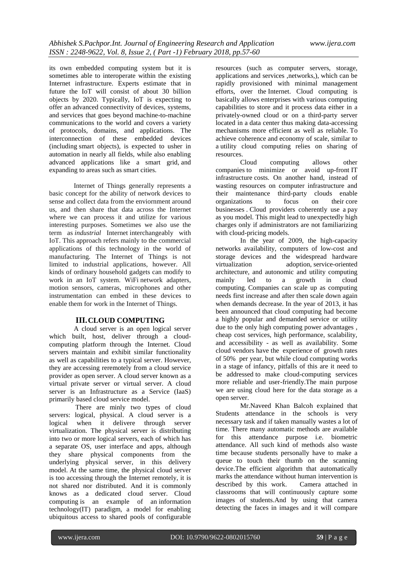its own embedded computing system but it is sometimes able to interoperate within the existing [Internet](https://en.wikipedia.org/wiki/Internet) infrastructure. Experts estimate that in future the IoT will consist of about 30 billion objects by 2020. Typically, IoT is expecting to offer an advanced connectivity of devices, systems, and services that goes beyond [machine-to-machine](https://en.wikipedia.org/wiki/Machine_to_machine) communications to the world and covers a variety of protocols, domains, and applications. The interconnection of these embedded devices (including [smart objects\)](https://en.wikipedia.org/wiki/Smart_objects), is expected to usher in automation in nearly all fields, while also enabling advanced applications like a smart grid, and expanding to areas such as smart cities.

Internet of Things generally represents a basic concept for the ability of network devices to sense and collect data from the enviornment around us, and then share that data across the Internet where we can process it and utilize for various interesting purposes. Sometimes we also use the term as *industrial* Internet interchangeably with IoT. This approach refers mainly to the commercial applications of this technology in the world of manufacturing. The Internet of Things is not limited to industrial applications, however. All kinds of ordinary household gadgets can modify to work in an IoT system. [WiFi](https://www.lifewire.com/what-is-wifi-816557) network adapters, motion sensors, cameras, microphones and other instrumentation can embed in these devices to enable them for work in the Internet of Things.

### **III.CLOUD COMPUTING**

A cloud server is an open logical server which built, host, deliver through a cloudcomputing platform through the Internet. Cloud servers maintain and exhibit similar functionality as well as capabilities to a typical server. However, they are accessing reremotely from a cloud service provider as open server. A cloud server known as a virtual private server or virtual server. A cloud server is an Infrastructure as a Service (IaaS) primarily based cloud service model.

There are minly two types of cloud servers: logical, physical. A cloud server is a logical when it delivere through server virtualization. The physical server is distributing into two or more logical servers, each of which has a separate OS, user interface and apps, although they share physical components from the underlying physical server, in this delivery model. At the same time, the physical cloud server is too accessing through the Internet remotely, it is not shared nor distributed. And it is commonly knows as a dedicated cloud server. Cloud computing is an example of an [information](https://en.wikipedia.org/wiki/Information_technology)  [technology\(](https://en.wikipedia.org/wiki/Information_technology)IT) paradigm, a model for enabling ubiquitous access to shared pools of configurable

resources (such as computer servers, storage, applications and services ,networks,), which can be rapidly [provisioned](https://en.wikipedia.org/wiki/Provisioning) with minimal management efforts, over the [Internet.](https://en.wikipedia.org/wiki/Internet) Cloud computing is basically allows enterprises with various computing capabilities to store and it process data either in a privately-owned cloud or on a third-party server located in a [data center](https://en.wikipedia.org/wiki/Data_center) thus making data-accessing mechanisms more efficient as well as reliable. To achieve [coherence](https://en.wikipedia.org/wiki/Coherence_(disambiguation)) and [economy of scale,](https://en.wikipedia.org/wiki/Economies_of_scale) similar to a [utility](https://en.wikipedia.org/wiki/Public_utility) cloud computing relies on sharing of resources.

Cloud computing allows other [companies](https://en.wikipedia.org/wiki/Company) to minimize or avoid up-front [IT](https://en.wikipedia.org/wiki/IT_infrastructure)  [infrastructure](https://en.wikipedia.org/wiki/IT_infrastructure) costs. On another hand, instead of wasting resources on computer infrastructure and their maintenance third-party clouds enable organizations to focus on their [core](https://en.wikipedia.org/wiki/Core_business)  [businesses](https://en.wikipedia.org/wiki/Core_business) . Cloud providers coherently use a pay as you model. This might lead to unexpectedly high charges only if administrators are not familiarizing with cloud-pricing models.

In the year of 2009, the high-capacity networks availability, computers of low-cost and storage devices and the widespread [hardware](https://en.wikipedia.org/wiki/Hardware_virtualization)  [virtualization](https://en.wikipedia.org/wiki/Hardware_virtualization) adoption, [service-oriented](https://en.wikipedia.org/wiki/Service-oriented_architecture)  [architecture,](https://en.wikipedia.org/wiki/Service-oriented_architecture) and [autonomic](https://en.wikipedia.org/wiki/Autonomic_computing) and [utility computing](https://en.wikipedia.org/wiki/Utility_computing) mainly led to a growth in cloud computing. Companies can scale up as computing needs first increase and after then scale down again when demands decrease. In the year of 2013, it has been announced that cloud computing had become a highly popular and demanded service or utility due to the only high computing power advantages , cheap cost services, high performance, scalability, and accessibility - as well as availability. Some cloud vendors have the experience of growth rates of 50% per year, but while cloud computing works in a stage of infancy, pitfalls of this are it need to be addressed to make cloud-computing services more reliable and user-friendly.The main purpose we are using cloud here for the data storage as a open server.

Mr.Naveed Khan Balcoh explained that Students attendance in the schools is very necessary task and if taken manually wastes a lot of time. There many automatic methods are available for this attendance purpose i.e. biometric attendance. All such kind of methods also waste time because students personally have to make a queue to touch their thumb on the scanning device.The efficient algorithm that automatically marks the attendance without human intervention is described by this work. Camera attached in classrooms that will continuously capture some images of students.And by using that camera detecting the faces in images and it will compare